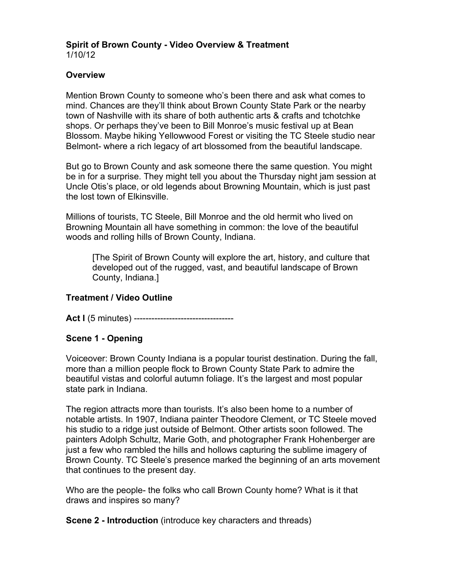#### **Spirit of Brown County - Video Overview & Treatment** 1/10/12

### **Overview**

Mention Brown County to someone who's been there and ask what comes to mind. Chances are they'll think about Brown County State Park or the nearby town of Nashville with its share of both authentic arts & crafts and tchotchke shops. Or perhaps they've been to Bill Monroe's music festival up at Bean Blossom. Maybe hiking Yellowwood Forest or visiting the TC Steele studio near Belmont- where a rich legacy of art blossomed from the beautiful landscape.

But go to Brown County and ask someone there the same question. You might be in for a surprise. They might tell you about the Thursday night jam session at Uncle Otis's place, or old legends about Browning Mountain, which is just past the lost town of Elkinsville.

Millions of tourists, TC Steele, Bill Monroe and the old hermit who lived on Browning Mountain all have something in common: the love of the beautiful woods and rolling hills of Brown County, Indiana.

[The Spirit of Brown County will explore the art, history, and culture that developed out of the rugged, vast, and beautiful landscape of Brown County, Indiana.]

# **Treatment / Video Outline**

**Act I** (5 minutes) -----------------------------------

### **Scene 1 - Opening**

Voiceover: Brown County Indiana is a popular tourist destination. During the fall, more than a million people flock to Brown County State Park to admire the beautiful vistas and colorful autumn foliage. It's the largest and most popular state park in Indiana.

The region attracts more than tourists. It's also been home to a number of notable artists. In 1907, Indiana painter Theodore Clement, or TC Steele moved his studio to a ridge just outside of Belmont. Other artists soon followed. The painters Adolph Schultz, Marie Goth, and photographer Frank Hohenberger are just a few who rambled the hills and hollows capturing the sublime imagery of Brown County. TC Steele's presence marked the beginning of an arts movement that continues to the present day.

Who are the people- the folks who call Brown County home? What is it that draws and inspires so many?

**Scene 2 - Introduction** (introduce key characters and threads)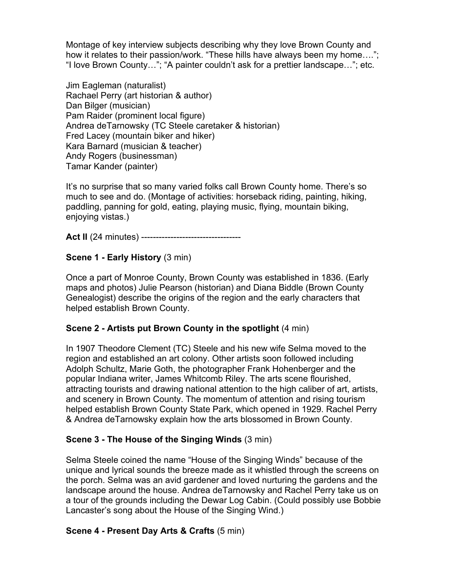Montage of key interview subjects describing why they love Brown County and how it relates to their passion/work. "These hills have always been my home...." "I love Brown County…"; "A painter couldn't ask for a prettier landscape…"; etc.

Jim Eagleman (naturalist) Rachael Perry (art historian & author) Dan Bilger (musician) Pam Raider (prominent local figure) Andrea deTarnowsky (TC Steele caretaker & historian) Fred Lacey (mountain biker and hiker) Kara Barnard (musician & teacher) Andy Rogers (businessman) Tamar Kander (painter)

It's no surprise that so many varied folks call Brown County home. There's so much to see and do. (Montage of activities: horseback riding, painting, hiking, paddling, panning for gold, eating, playing music, flying, mountain biking, enjoying vistas.)

**Act II** (24 minutes) -----------------------------------

# **Scene 1 - Early History** (3 min)

Once a part of Monroe County, Brown County was established in 1836. (Early maps and photos) Julie Pearson (historian) and Diana Biddle (Brown County Genealogist) describe the origins of the region and the early characters that helped establish Brown County.

### **Scene 2 - Artists put Brown County in the spotlight** (4 min)

In 1907 Theodore Clement (TC) Steele and his new wife Selma moved to the region and established an art colony. Other artists soon followed including Adolph Schultz, Marie Goth, the photographer Frank Hohenberger and the popular Indiana writer, James Whitcomb Riley. The arts scene flourished, attracting tourists and drawing national attention to the high caliber of art, artists, and scenery in Brown County. The momentum of attention and rising tourism helped establish Brown County State Park, which opened in 1929. Rachel Perry & Andrea deTarnowsky explain how the arts blossomed in Brown County.

# **Scene 3 - The House of the Singing Winds** (3 min)

Selma Steele coined the name "House of the Singing Winds" because of the unique and lyrical sounds the breeze made as it whistled through the screens on the porch. Selma was an avid gardener and loved nurturing the gardens and the landscape around the house. Andrea deTarnowsky and Rachel Perry take us on a tour of the grounds including the Dewar Log Cabin. (Could possibly use Bobbie Lancaster's song about the House of the Singing Wind.)

### **Scene 4 - Present Day Arts & Crafts** (5 min)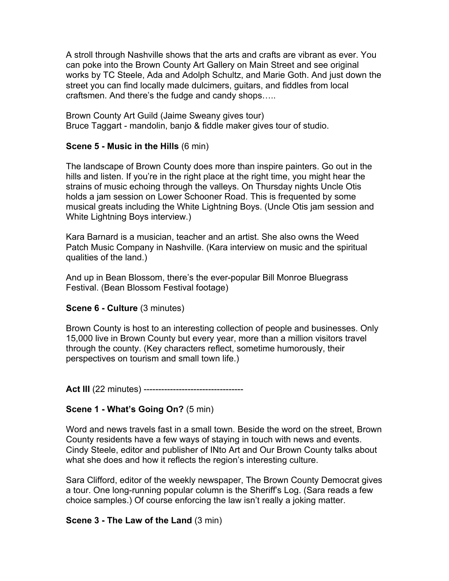A stroll through Nashville shows that the arts and crafts are vibrant as ever. You can poke into the Brown County Art Gallery on Main Street and see original works by TC Steele, Ada and Adolph Schultz, and Marie Goth. And just down the street you can find locally made dulcimers, guitars, and fiddles from local craftsmen. And there's the fudge and candy shops…..

Brown County Art Guild (Jaime Sweany gives tour) Bruce Taggart - mandolin, banjo & fiddle maker gives tour of studio.

### **Scene 5 - Music in the Hills** (6 min)

The landscape of Brown County does more than inspire painters. Go out in the hills and listen. If you're in the right place at the right time, you might hear the strains of music echoing through the valleys. On Thursday nights Uncle Otis holds a jam session on Lower Schooner Road. This is frequented by some musical greats including the White Lightning Boys. (Uncle Otis jam session and White Lightning Boys interview.)

Kara Barnard is a musician, teacher and an artist. She also owns the Weed Patch Music Company in Nashville. (Kara interview on music and the spiritual qualities of the land.)

And up in Bean Blossom, there's the ever-popular Bill Monroe Bluegrass Festival. (Bean Blossom Festival footage)

### **Scene 6 - Culture** (3 minutes)

Brown County is host to an interesting collection of people and businesses. Only 15,000 live in Brown County but every year, more than a million visitors travel through the county. (Key characters reflect, sometime humorously, their perspectives on tourism and small town life.)

**Act III** (22 minutes) ----------------------------------

# **Scene 1 - What's Going On?** (5 min)

Word and news travels fast in a small town. Beside the word on the street, Brown County residents have a few ways of staying in touch with news and events. Cindy Steele, editor and publisher of INto Art and Our Brown County talks about what she does and how it reflects the region's interesting culture.

Sara Clifford, editor of the weekly newspaper, The Brown County Democrat gives a tour. One long-running popular column is the Sheriff's Log. (Sara reads a few choice samples.) Of course enforcing the law isn't really a joking matter.

### **Scene 3 - The Law of the Land** (3 min)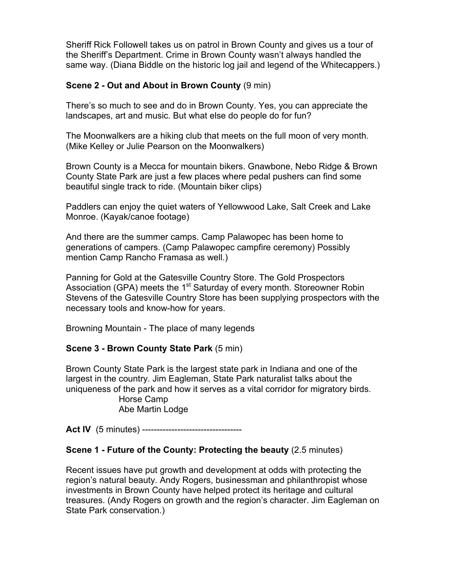Sheriff Rick Followell takes us on patrol in Brown County and gives us a tour of the Sheriff's Department. Crime in Brown County wasn't always handled the same way. (Diana Biddle on the historic log jail and legend of the Whitecappers.)

### **Scene 2 - Out and About in Brown County** (9 min)

There's so much to see and do in Brown County. Yes, you can appreciate the landscapes, art and music. But what else do people do for fun?

The Moonwalkers are a hiking club that meets on the full moon of very month. (Mike Kelley or Julie Pearson on the Moonwalkers)

Brown County is a Mecca for mountain bikers. Gnawbone, Nebo Ridge & Brown County State Park are just a few places where pedal pushers can find some beautiful single track to ride. (Mountain biker clips)

Paddlers can enjoy the quiet waters of Yellowwood Lake, Salt Creek and Lake Monroe. (Kayak/canoe footage)

And there are the summer camps. Camp Palawopec has been home to generations of campers. (Camp Palawopec campfire ceremony) Possibly mention Camp Rancho Framasa as well.)

Panning for Gold at the Gatesville Country Store. The Gold Prospectors Association (GPA) meets the 1<sup>st</sup> Saturday of every month. Storeowner Robin Stevens of the Gatesville Country Store has been supplying prospectors with the necessary tools and know-how for years.

Browning Mountain - The place of many legends

# **Scene 3 - Brown County State Park** (5 min)

Brown County State Park is the largest state park in Indiana and one of the largest in the country. Jim Eagleman, State Park naturalist talks about the uniqueness of the park and how it serves as a vital corridor for migratory birds.

> Horse Camp Abe Martin Lodge

**Act IV** (5 minutes) ----------------------------------

# **Scene 1 - Future of the County: Protecting the beauty** (2.5 minutes)

Recent issues have put growth and development at odds with protecting the region's natural beauty. Andy Rogers, businessman and philanthropist whose investments in Brown County have helped protect its heritage and cultural treasures. (Andy Rogers on growth and the region's character. Jim Eagleman on State Park conservation.)